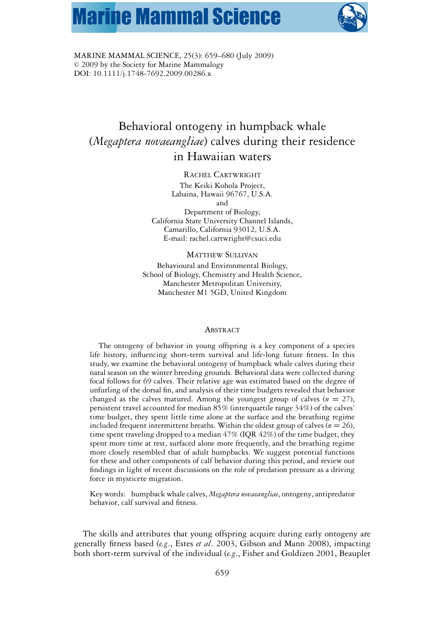# **Marine Mammal Science**



MARINE MAMMAL SCIENCE, 25(3): 659–680 (July 2009)  $© 2009$  by the Society for Marine Mammalogy DOI: 10.1111/j.1748-7692.2009.00286.x

## Behavioral ontogeny in humpback whale (*Megaptera novaeangliae*) calves during their residence in Hawaiian waters

RACHEL CARTWRIGHT The Keiki Kohola Project, Lahaina, Hawaii 96767, U.S.A. and Department of Biology, California State University Channel Islands, Camarillo, California 93012, U.S.A. E-mail: rachel.cartwright@csuci.edu

MATTHEW SULLIVAN

Behavioural and Environmental Biology, School of Biology, Chemistry and Health Science, Manchester Metropolitan University, Manchester M1 5GD, United Kingdom

#### ABSTRACT

The ontogeny of behavior in young offspring is a key component of a species life history, influencing short-term survival and life-long future fitness. In this study, we examine the behavioral ontogeny of humpback whale calves during their natal season on the winter breeding grounds. Behavioral data were collected during focal follows for 69 calves. Their relative age was estimated based on the degree of unfurling of the dorsal fin, and analysis of their time budgets revealed that behavior changed as the calves matured. Among the youngest group of calves  $(n = 27)$ , persistent travel accounted for median 85% (interquartile range 34%) of the calves' time budget, they spent little time alone at the surface and the breathing regime included frequent intermittent breaths. Within the oldest group of calves ( $n = 26$ ), time spent traveling dropped to a median  $47\%$  (IQR  $42\%$ ) of the time budget, they spent more time at rest, surfaced alone more frequently, and the breathing regime more closely resembled that of adult humpbacks. We suggest potential functions for these and other components of calf behavior during this period, and review our findings in light of recent discussions on the role of predation pressure as a driving force in mysticete migration.

Key words: humpback whale calves, *Megaptera novaeangliae*, ontogeny, antipredator behavior, calf survival and fitness.

The skills and attributes that young offspring acquire during early ontogeny are generally fitness based (*e.g*., Estes *et al*. 2003, Gibson and Mann 2008), impacting both short-term survival of the individual (*e.g*., Fisher and Goldizen 2001, Beauplet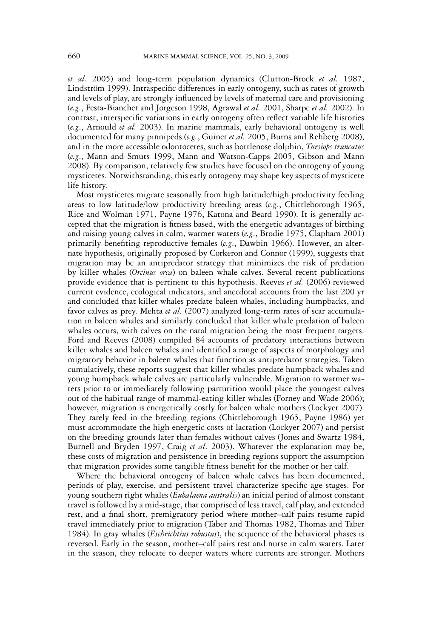*et al.* 2005) and long-term population dynamics (Clutton-Brock *et al.* 1987, Lindström 1999). Intraspecific differences in early ontogeny, such as rates of growth and levels of play, are strongly influenced by levels of maternal care and provisioning (*e.g*., Festa-Bianchet and Jorgeson 1998, Agrawal *et al.* 2001, Sharpe *et al.* 2002). In contrast, interspecific variations in early ontogeny often reflect variable life histories (*e.g*., Arnould *et al.* 2003). In marine mammals, early behavioral ontogeny is well documented for many pinnipeds (*e.g.*, Guinet *et al.* 2005, Burns and Rehberg 2008), and in the more accessible odontocetes, such as bottlenose dolphin, *Tursiops truncatus* (*e.g*., Mann and Smuts 1999, Mann and Watson-Capps 2005, Gibson and Mann 2008). By comparison, relatively few studies have focused on the ontogeny of young mysticetes. Notwithstanding, this early ontogeny may shape key aspects of mysticete life history.

Most mysticetes migrate seasonally from high latitude/high productivity feeding areas to low latitude/low productivity breeding areas (*e.g*., Chittleborough 1965, Rice and Wolman 1971, Payne 1976, Katona and Beard 1990). It is generally accepted that the migration is fitness based, with the energetic advantages of birthing and raising young calves in calm, warmer waters (*e.g*., Brodie 1975, Clapham 2001) primarily benefiting reproductive females (*e.g*., Dawbin 1966). However, an alternate hypothesis, originally proposed by Corkeron and Connor (1999), suggests that migration may be an antipredator strategy that minimizes the risk of predation by killer whales (*Orcinus orca*) on baleen whale calves. Several recent publications provide evidence that is pertinent to this hypothesis. Reeves *et al.* (2006) reviewed current evidence, ecological indicators, and anecdotal accounts from the last 200 yr and concluded that killer whales predate baleen whales, including humpbacks, and favor calves as prey. Mehta *et al.* (2007) analyzed long-term rates of scar accumulation in baleen whales and similarly concluded that killer whale predation of baleen whales occurs, with calves on the natal migration being the most frequent targets. Ford and Reeves (2008) compiled 84 accounts of predatory interactions between killer whales and baleen whales and identified a range of aspects of morphology and migratory behavior in baleen whales that function as antipredator strategies. Taken cumulatively, these reports suggest that killer whales predate humpback whales and young humpback whale calves are particularly vulnerable. Migration to warmer waters prior to or immediately following parturition would place the youngest calves out of the habitual range of mammal-eating killer whales (Forney and Wade 2006); however, migration is energetically costly for baleen whale mothers (Lockyer 2007). They rarely feed in the breeding regions (Chittleborough 1965, Payne 1986) yet must accommodate the high energetic costs of lactation (Lockyer 2007) and persist on the breeding grounds later than females without calves (Jones and Swartz 1984, Burnell and Bryden 1997, Craig *et al*. 2003). Whatever the explanation may be, these costs of migration and persistence in breeding regions support the assumption that migration provides some tangible fitness benefit for the mother or her calf.

Where the behavioral ontogeny of baleen whale calves has been documented, periods of play, exercise, and persistent travel characterize specific age stages. For young southern right whales (*Eubalaena australis*) an initial period of almost constant travel is followed by a mid-stage, that comprised of less travel, calf play, and extended rest, and a final short, premigratory period where mother–calf pairs resume rapid travel immediately prior to migration (Taber and Thomas 1982, Thomas and Taber 1984). In gray whales (*Eschrichtius robustus*), the sequence of the behavioral phases is reversed. Early in the season, mother–calf pairs rest and nurse in calm waters. Later in the season, they relocate to deeper waters where currents are stronger. Mothers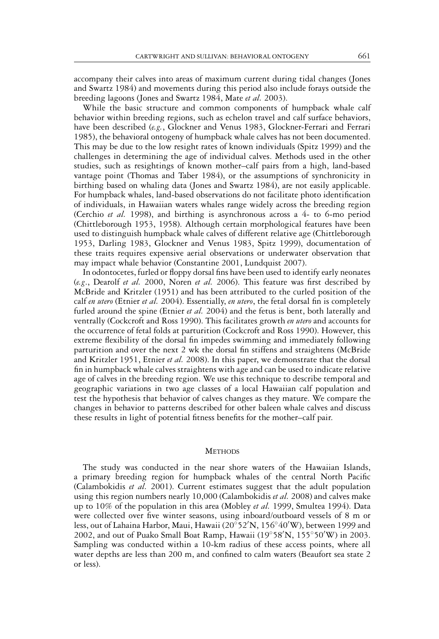accompany their calves into areas of maximum current during tidal changes (Jones and Swartz 1984) and movements during this period also include forays outside the breeding lagoons (Jones and Swartz 1984, Mate *et al.* 2003).

While the basic structure and common components of humpback whale calf behavior within breeding regions, such as echelon travel and calf surface behaviors, have been described (*e.g.*, Glockner and Venus 1983, Glockner-Ferrari and Ferrari 1985), the behavioral ontogeny of humpback whale calves has not been documented. This may be due to the low resight rates of known individuals (Spitz 1999) and the challenges in determining the age of individual calves. Methods used in the other studies, such as resightings of known mother–calf pairs from a high, land-based vantage point (Thomas and Taber 1984), or the assumptions of synchronicity in birthing based on whaling data (Jones and Swartz 1984), are not easily applicable. For humpback whales, land-based observations do not facilitate photo identification of individuals, in Hawaiian waters whales range widely across the breeding region (Cerchio *et al.* 1998), and birthing is asynchronous across a 4- to 6-mo period (Chittleborough 1953, 1958). Although certain morphological features have been used to distinguish humpback whale calves of different relative age (Chittleborough 1953, Darling 1983, Glockner and Venus 1983, Spitz 1999), documentation of these traits requires expensive aerial observations or underwater observation that may impact whale behavior (Constantine 2001, Lundquist 2007).

In odontocetes, furled or floppy dorsal fins have been used to identify early neonates (*e.g*., Dearolf *et al.* 2000, Noren *et al.* 2006). This feature was first described by McBride and Kritzler (1951) and has been attributed to the curled position of the calf *en utero* (Etnier *et al.* 2004). Essentially, *en utero*, the fetal dorsal fin is completely furled around the spine (Etnier *et al.* 2004) and the fetus is bent, both laterally and ventrally (Cockcroft and Ross 1990). This facilitates growth *en utero* and accounts for the occurrence of fetal folds at parturition (Cockcroft and Ross 1990). However, this extreme flexibility of the dorsal fin impedes swimming and immediately following parturition and over the next 2 wk the dorsal fin stiffens and straightens (McBride and Kritzler 1951, Etnier *et al.* 2008). In this paper, we demonstrate that the dorsal fin in humpback whale calves straightens with age and can be used to indicate relative age of calves in the breeding region. We use this technique to describe temporal and geographic variations in two age classes of a local Hawaiian calf population and test the hypothesis that behavior of calves changes as they mature. We compare the changes in behavior to patterns described for other baleen whale calves and discuss these results in light of potential fitness benefits for the mother–calf pair.

#### **METHODS**

The study was conducted in the near shore waters of the Hawaiian Islands, a primary breeding region for humpback whales of the central North Pacific (Calambokidis *et al.* 2001). Current estimates suggest that the adult population using this region numbers nearly 10,000 (Calambokidis *et al.* 2008) and calves make up to 10% of the population in this area (Mobley *et al.* 1999, Smultea 1994). Data were collected over five winter seasons, using inboard/outboard vessels of 8 m or less, out of Lahaina Harbor, Maui, Hawaii (20◦52 N, 156◦40 W), between 1999 and 2002, and out of Puako Small Boat Ramp, Hawaii (19◦58 N, 155◦50 W) in 2003. Sampling was conducted within a 10-km radius of these access points, where all water depths are less than 200 m, and confined to calm waters (Beaufort sea state 2 or less).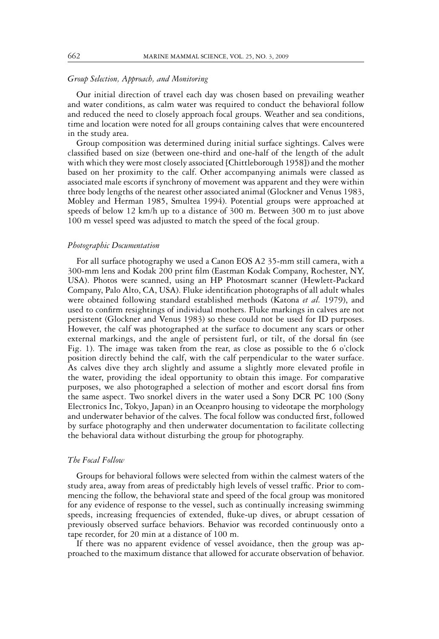#### *Group Selection, Approach, and Monitoring*

Our initial direction of travel each day was chosen based on prevailing weather and water conditions, as calm water was required to conduct the behavioral follow and reduced the need to closely approach focal groups. Weather and sea conditions, time and location were noted for all groups containing calves that were encountered in the study area.

Group composition was determined during initial surface sightings. Calves were classified based on size (between one-third and one-half of the length of the adult with which they were most closely associated [Chittleborough 1958]) and the mother based on her proximity to the calf. Other accompanying animals were classed as associated male escorts if synchrony of movement was apparent and they were within three body lengths of the nearest other associated animal (Glockner and Venus 1983, Mobley and Herman 1985, Smultea 1994). Potential groups were approached at speeds of below 12 km/h up to a distance of 300 m. Between 300 m to just above 100 m vessel speed was adjusted to match the speed of the focal group.

#### *Photographic Documentation*

For all surface photography we used a Canon EOS A2 35-mm still camera, with a 300-mm lens and Kodak 200 print film (Eastman Kodak Company, Rochester, NY, USA). Photos were scanned, using an HP Photosmart scanner (Hewlett-Packard Company, Palo Alto, CA, USA). Fluke identification photographs of all adult whales were obtained following standard established methods (Katona *et al.* 1979), and used to confirm resightings of individual mothers. Fluke markings in calves are not persistent (Glockner and Venus 1983) so these could not be used for ID purposes. However, the calf was photographed at the surface to document any scars or other external markings, and the angle of persistent furl, or tilt, of the dorsal fin (see Fig. 1). The image was taken from the rear, as close as possible to the 6 o'clock position directly behind the calf, with the calf perpendicular to the water surface. As calves dive they arch slightly and assume a slightly more elevated profile in the water, providing the ideal opportunity to obtain this image. For comparative purposes, we also photographed a selection of mother and escort dorsal fins from the same aspect. Two snorkel divers in the water used a Sony DCR PC 100 (Sony Electronics Inc, Tokyo, Japan) in an Oceanpro housing to videotape the morphology and underwater behavior of the calves. The focal follow was conducted first, followed by surface photography and then underwater documentation to facilitate collecting the behavioral data without disturbing the group for photography.

#### *The Focal Follow*

Groups for behavioral follows were selected from within the calmest waters of the study area, away from areas of predictably high levels of vessel traffic. Prior to commencing the follow, the behavioral state and speed of the focal group was monitored for any evidence of response to the vessel, such as continually increasing swimming speeds, increasing frequencies of extended, fluke-up dives, or abrupt cessation of previously observed surface behaviors. Behavior was recorded continuously onto a tape recorder, for 20 min at a distance of 100 m.

If there was no apparent evidence of vessel avoidance, then the group was approached to the maximum distance that allowed for accurate observation of behavior.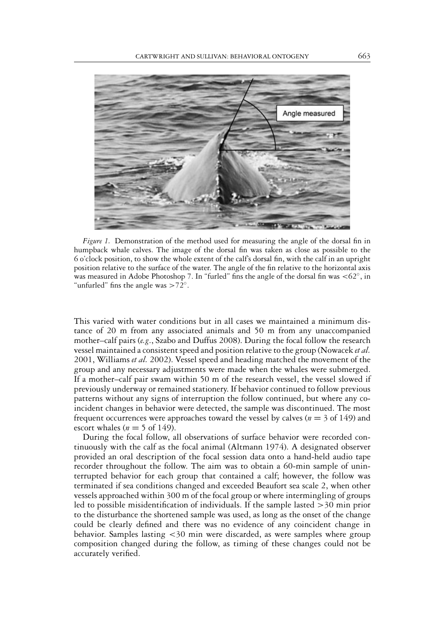

*Figure 1.* Demonstration of the method used for measuring the angle of the dorsal fin in humpback whale calves. The image of the dorsal fin was taken as close as possible to the 6 o'clock position, to show the whole extent of the calf's dorsal fin, with the calf in an upright position relative to the surface of the water. The angle of the fin relative to the horizontal axis was measured in Adobe Photoshop 7. In "furled" fins the angle of the dorsal fin was  $\langle 62^\circ, \text{in} \rangle$ "unfurled" fins the angle was >72◦.

This varied with water conditions but in all cases we maintained a minimum distance of 20 m from any associated animals and 50 m from any unaccompanied mother–calf pairs (*e.g*., Szabo and Duffus 2008). During the focal follow the research vessel maintained a consistent speed and position relative to the group (Nowacek *et al.* 2001, Williams *et al.* 2002). Vessel speed and heading matched the movement of the group and any necessary adjustments were made when the whales were submerged. If a mother–calf pair swam within 50 m of the research vessel, the vessel slowed if previously underway or remained stationery. If behavior continued to follow previous patterns without any signs of interruption the follow continued, but where any coincident changes in behavior were detected, the sample was discontinued. The most frequent occurrences were approaches toward the vessel by calves ( $n = 3$  of 149) and escort whales ( $n = 5$  of 149).

During the focal follow, all observations of surface behavior were recorded continuously with the calf as the focal animal (Altmann 1974). A designated observer provided an oral description of the focal session data onto a hand-held audio tape recorder throughout the follow. The aim was to obtain a 60-min sample of uninterrupted behavior for each group that contained a calf; however, the follow was terminated if sea conditions changed and exceeded Beaufort sea scale 2, when other vessels approached within 300 m of the focal group or where intermingling of groups led to possible misidentification of individuals. If the sample lasted >30 min prior to the disturbance the shortened sample was used, as long as the onset of the change could be clearly defined and there was no evidence of any coincident change in behavior. Samples lasting <30 min were discarded, as were samples where group composition changed during the follow, as timing of these changes could not be accurately verified.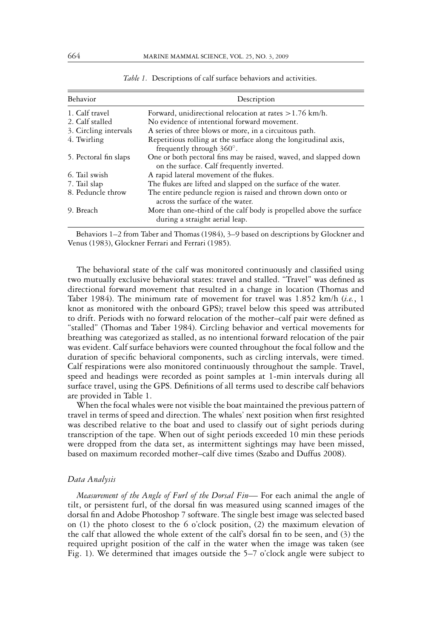| Behavior              | Description                                                                                                   |  |  |
|-----------------------|---------------------------------------------------------------------------------------------------------------|--|--|
| 1. Calf travel        | Forward, unidirectional relocation at rates $>1.76$ km/h.                                                     |  |  |
| 2. Calf stalled       | No evidence of intentional forward movement.                                                                  |  |  |
| 3. Circling intervals | A series of three blows or more, in a circuitous path.                                                        |  |  |
| 4. Twirling           | Repetitious rolling at the surface along the longitudinal axis,<br>frequently through $360^\circ$ .           |  |  |
| 5. Pectoral fin slaps | One or both pectoral fins may be raised, waved, and slapped down<br>on the surface. Calf frequently inverted. |  |  |
| 6. Tail swish         | A rapid lateral movement of the flukes.                                                                       |  |  |
| 7. Tail slap          | The flukes are lifted and slapped on the surface of the water.                                                |  |  |
| 8. Peduncle throw     | The entire peduncle region is raised and thrown down onto or<br>across the surface of the water.              |  |  |
| 9. Breach             | More than one-third of the calf body is propelled above the surface<br>during a straight aerial leap.         |  |  |

*Table 1.* Descriptions of calf surface behaviors and activities.

Behaviors 1–2 from Taber and Thomas (1984), 3–9 based on descriptions by Glockner and Venus (1983), Glockner Ferrari and Ferrari (1985).

The behavioral state of the calf was monitored continuously and classified using two mutually exclusive behavioral states: travel and stalled. "Travel" was defined as directional forward movement that resulted in a change in location (Thomas and Taber 1984). The minimum rate of movement for travel was 1.852 km/h (*i.e.*, 1 knot as monitored with the onboard GPS); travel below this speed was attributed to drift. Periods with no forward relocation of the mother–calf pair were defined as "stalled" (Thomas and Taber 1984). Circling behavior and vertical movements for breathing was categorized as stalled, as no intentional forward relocation of the pair was evident. Calf surface behaviors were counted throughout the focal follow and the duration of specific behavioral components, such as circling intervals, were timed. Calf respirations were also monitored continuously throughout the sample. Travel, speed and headings were recorded as point samples at 1-min intervals during all surface travel, using the GPS. Definitions of all terms used to describe calf behaviors are provided in Table 1.

When the focal whales were not visible the boat maintained the previous pattern of travel in terms of speed and direction. The whales' next position when first resighted was described relative to the boat and used to classify out of sight periods during transcription of the tape. When out of sight periods exceeded 10 min these periods were dropped from the data set, as intermittent sightings may have been missed, based on maximum recorded mother–calf dive times (Szabo and Duffus 2008).

#### *Data Analysis*

*Measurement of the Angle of Furl of the Dorsal Fin*— For each animal the angle of tilt, or persistent furl, of the dorsal fin was measured using scanned images of the dorsal fin and Adobe Photoshop 7 software. The single best image was selected based on (1) the photo closest to the 6 o'clock position, (2) the maximum elevation of the calf that allowed the whole extent of the calf's dorsal fin to be seen, and (3) the required upright position of the calf in the water when the image was taken (see Fig. 1). We determined that images outside the 5–7 o'clock angle were subject to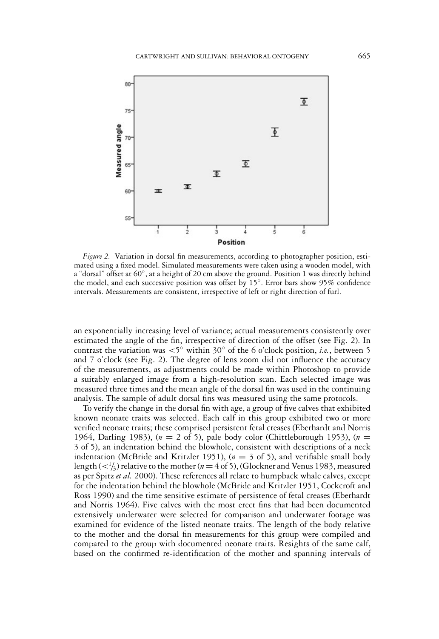

*Figure 2.* Variation in dorsal fin measurements, according to photographer position, estimated using a fixed model. Simulated measurements were taken using a wooden model, with a "dorsal" offset at 60◦, at a height of 20 cm above the ground. Position 1 was directly behind the model, and each successive position was offset by 15◦. Error bars show 95% confidence intervals. Measurements are consistent, irrespective of left or right direction of furl.

an exponentially increasing level of variance; actual measurements consistently over estimated the angle of the fin, irrespective of direction of the offset (see Fig. 2). In contrast the variation was <5◦ within 30◦ of the 6 o'clock position, *i.e.*, between 5 and 7 o'clock (see Fig. 2). The degree of lens zoom did not influence the accuracy of the measurements, as adjustments could be made within Photoshop to provide a suitably enlarged image from a high-resolution scan. Each selected image was measured three times and the mean angle of the dorsal fin was used in the continuing analysis. The sample of adult dorsal fins was measured using the same protocols.

To verify the change in the dorsal fin with age, a group of five calves that exhibited known neonate traits was selected. Each calf in this group exhibited two or more verified neonate traits; these comprised persistent fetal creases (Eberhardt and Norris 1964, Darling 1983), (*n* = 2 of 5), pale body color (Chittleborough 1953), (*n* = 3 of 5), an indentation behind the blowhole, consistent with descriptions of a neck indentation (McBride and Kritzler 1951),  $(n = 3 \text{ of } 5)$ , and verifiable small body length  $\left\langle \langle 1/3 \rangle \right\rangle$  relative to the mother (*n* = 4 of 5), (Glockner and Venus 1983, measured as per Spitz *et al.* 2000). These references all relate to humpback whale calves, except for the indentation behind the blowhole (McBride and Kritzler 1951, Cockcroft and Ross 1990) and the time sensitive estimate of persistence of fetal creases (Eberhardt and Norris 1964). Five calves with the most erect fins that had been documented extensively underwater were selected for comparison and underwater footage was examined for evidence of the listed neonate traits. The length of the body relative to the mother and the dorsal fin measurements for this group were compiled and compared to the group with documented neonate traits. Resights of the same calf, based on the confirmed re-identification of the mother and spanning intervals of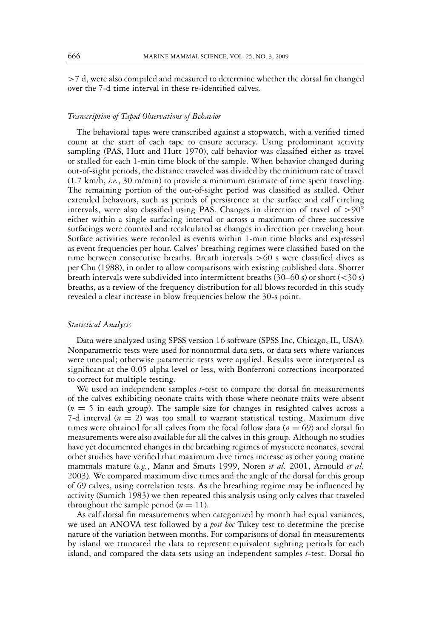>7 d, were also compiled and measured to determine whether the dorsal fin changed over the 7-d time interval in these re-identified calves.

#### *Transcription of Taped Observations of Behavior*

The behavioral tapes were transcribed against a stopwatch, with a verified timed count at the start of each tape to ensure accuracy. Using predominant activity sampling (PAS, Hutt and Hutt 1970), calf behavior was classified either as travel or stalled for each 1-min time block of the sample. When behavior changed during out-of-sight periods, the distance traveled was divided by the minimum rate of travel (1.7 km/h, *i.e.*, 30 m/min) to provide a minimum estimate of time spent traveling. The remaining portion of the out-of-sight period was classified as stalled. Other extended behaviors, such as periods of persistence at the surface and calf circling intervals, were also classified using PAS. Changes in direction of travel of  $>90^\circ$ either within a single surfacing interval or across a maximum of three successive surfacings were counted and recalculated as changes in direction per traveling hour. Surface activities were recorded as events within 1-min time blocks and expressed as event frequencies per hour. Calves' breathing regimes were classified based on the time between consecutive breaths. Breath intervals >60 s were classified dives as per Chu (1988), in order to allow comparisons with existing published data. Shorter breath intervals were subdivided into intermittent breaths  $(30-60 s)$  or short  $(<30 s)$ breaths, as a review of the frequency distribution for all blows recorded in this study revealed a clear increase in blow frequencies below the 30-s point.

#### *Statistical Analysis*

Data were analyzed using SPSS version 16 software (SPSS Inc, Chicago, IL, USA). Nonparametric tests were used for nonnormal data sets, or data sets where variances were unequal; otherwise parametric tests were applied. Results were interpreted as significant at the 0.05 alpha level or less, with Bonferroni corrections incorporated to correct for multiple testing.

We used an independent samples *t*-test to compare the dorsal fin measurements of the calves exhibiting neonate traits with those where neonate traits were absent  $(n = 5)$  in each group). The sample size for changes in resighted calves across a 7-d interval  $(n = 2)$  was too small to warrant statistical testing. Maximum dive times were obtained for all calves from the focal follow data ( $n = 69$ ) and dorsal fin measurements were also available for all the calves in this group. Although no studies have yet documented changes in the breathing regimes of mysticete neonates, several other studies have verified that maximum dive times increase as other young marine mammals mature (*e.g.*, Mann and Smuts 1999, Noren *et al.* 2001, Arnould *et al.* 2003). We compared maximum dive times and the angle of the dorsal for this group of 69 calves, using correlation tests. As the breathing regime may be influenced by activity (Sumich 1983) we then repeated this analysis using only calves that traveled throughout the sample period  $(n = 11)$ .

As calf dorsal fin measurements when categorized by month had equal variances, we used an ANOVA test followed by a *post hoc* Tukey test to determine the precise nature of the variation between months. For comparisons of dorsal fin measurements by island we truncated the data to represent equivalent sighting periods for each island, and compared the data sets using an independent samples *t*-test. Dorsal fin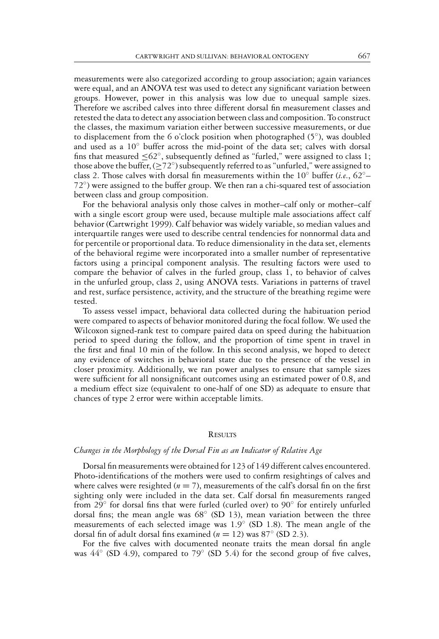measurements were also categorized according to group association; again variances were equal, and an ANOVA test was used to detect any significant variation between groups. However, power in this analysis was low due to unequal sample sizes. Therefore we ascribed calves into three different dorsal fin measurement classes and retested the data to detect any association between class and composition. To construct the classes, the maximum variation either between successive measurements, or due to displacement from the 6 o'clock position when photographed (5◦), was doubled and used as a 10◦ buffer across the mid-point of the data set; calves with dorsal fins that measured  $\leq 62^\circ$ , subsequently defined as "furled," were assigned to class 1; those above the buffer, ( $\geq$ 72°) subsequently referred to as "unfurled," were assigned to class 2. Those calves with dorsal fin measurements within the 10◦ buffer (*i.e*., 62◦– 72◦) were assigned to the buffer group. We then ran a chi-squared test of association between class and group composition.

For the behavioral analysis only those calves in mother–calf only or mother–calf with a single escort group were used, because multiple male associations affect calf behavior (Cartwright 1999). Calf behavior was widely variable, so median values and interquartile ranges were used to describe central tendencies for nonnormal data and for percentile or proportional data. To reduce dimensionality in the data set, elements of the behavioral regime were incorporated into a smaller number of representative factors using a principal component analysis. The resulting factors were used to compare the behavior of calves in the furled group, class 1, to behavior of calves in the unfurled group, class 2, using ANOVA tests. Variations in patterns of travel and rest, surface persistence, activity, and the structure of the breathing regime were tested.

To assess vessel impact, behavioral data collected during the habituation period were compared to aspects of behavior monitored during the focal follow. We used the Wilcoxon signed-rank test to compare paired data on speed during the habituation period to speed during the follow, and the proportion of time spent in travel in the first and final 10 min of the follow. In this second analysis, we hoped to detect any evidence of switches in behavioral state due to the presence of the vessel in closer proximity. Additionally, we ran power analyses to ensure that sample sizes were sufficient for all nonsignificant outcomes using an estimated power of 0.8, and a medium effect size (equivalent to one-half of one SD) as adequate to ensure that chances of type 2 error were within acceptable limits.

#### **RESULTS**

#### *Changes in the Morphology of the Dorsal Fin as an Indicator of Relative Age*

Dorsal fin measurements were obtained for 123 of 149 different calves encountered. Photo-identifications of the mothers were used to confirm resightings of calves and where calves were resighted  $(n = 7)$ , measurements of the calf's dorsal fin on the first sighting only were included in the data set. Calf dorsal fin measurements ranged from 29 $\degree$  for dorsal fins that were furled (curled over) to 90 $\degree$  for entirely unfurled dorsal fins; the mean angle was  $68^\circ$  (SD 13), mean variation between the three measurements of each selected image was  $1.9°$  (SD 1.8). The mean angle of the dorsal fin of adult dorsal fins examined ( $n = 12$ ) was 87° (SD 2.3).

For the five calves with documented neonate traits the mean dorsal fin angle was 44<sup>°</sup> (SD 4.9), compared to 79<sup>°</sup> (SD 5.4) for the second group of five calves,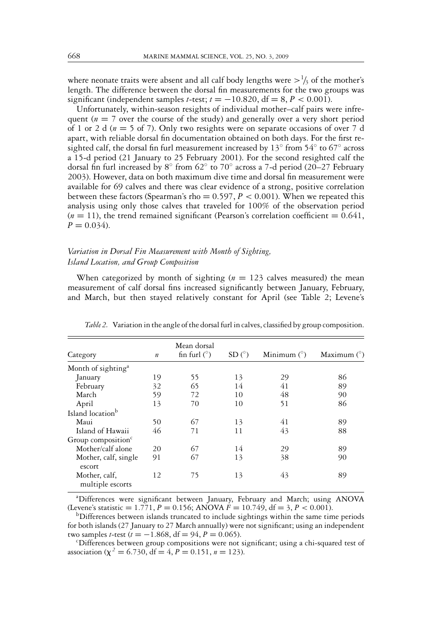where neonate traits were absent and all calf body lengths were  $>^{1/3}$  of the mother's length. The difference between the dorsal fin measurements for the two groups was significant (independent samples *t*-test;  $t = -10.820$ , df = 8,  $P < 0.001$ ).

Unfortunately, within-season resights of individual mother–calf pairs were infrequent ( $n = 7$  over the course of the study) and generally over a very short period of 1 or 2 d ( $n = 5$  of 7). Only two resights were on separate occasions of over 7 d apart, with reliable dorsal fin documentation obtained on both days. For the first resighted calf, the dorsal fin furl measurement increased by  $13°$  from  $54°$  to  $67°$  across a 15-d period (21 January to 25 February 2001). For the second resighted calf the dorsal fin furl increased by 8◦ from 62◦ to 70◦ across a 7-d period (20–27 February 2003). However, data on both maximum dive time and dorsal fin measurement were available for 69 calves and there was clear evidence of a strong, positive correlation between these factors (Spearman's rho =  $0.597, P < 0.001$ ). When we repeated this analysis using only those calves that traveled for 100% of the observation period  $(n = 11)$ , the trend remained significant (Pearson's correlation coefficient  $= 0.641$ ,  $P = 0.034$ .

### *Variation in Dorsal Fin Measurement with Month of Sighting, Island Location, and Group Composition*

When categorized by month of sighting  $(n = 123$  calves measured) the mean measurement of calf dorsal fins increased significantly between January, February, and March, but then stayed relatively constant for April (see Table 2; Levene's

| Category                          | $\boldsymbol{n}$ | Mean dorsal<br>fin furl $(°)$ | $SD(^{\circ})$ | Minimum $(°)$ | Maximum $(°)$ |
|-----------------------------------|------------------|-------------------------------|----------------|---------------|---------------|
| Month of sighting <sup>a</sup>    |                  |                               |                |               |               |
| January                           | 19               | 55                            | 13             | 29            | 86            |
| February                          | 32               | 65                            | 14             | 41            | 89            |
| March                             | 59               | 72                            | 10             | 48            | 90            |
| April                             | 13               | 70                            | 10             | 51            | 86            |
| Island location <sup>b</sup>      |                  |                               |                |               |               |
| Maui                              | 50               | 67                            | 13             | 41            | 89            |
| Island of Hawaii                  | 46               | 71                            | 11             | 43            | 88            |
| Group composition <sup>c</sup>    |                  |                               |                |               |               |
| Mother/calf alone                 | 20               | 67                            | 14             | 29            | 89            |
| Mother, calf, single<br>escort    | 91               | 67                            | 13             | 38            | 90            |
| Mother, calf,<br>multiple escorts | 12               | 75                            | 13             | 43            | 89            |

*Table 2.* Variation in the angle of the dorsal furl in calves, classified by group composition.

a Differences were significant between January, February and March; using ANOVA (Levene's statistic = 1.771,  $P = 0.156$ ; ANOVA  $F = 10.749$ , df = 3,  $P < 0.001$ ).

bDifferences between islands truncated to include sightings within the same time periods for both islands (27 January to 27 March annually) were not significant; using an independent two samples *t*-test ( $t = -1.868$ , df = 94,  $P = 0.065$ ).

Differences between group compositions were not significant; using a chi-squared test of association ( $\chi^2 = 6.730$ , df = 4,  $P = 0.151$ ,  $n = 123$ ).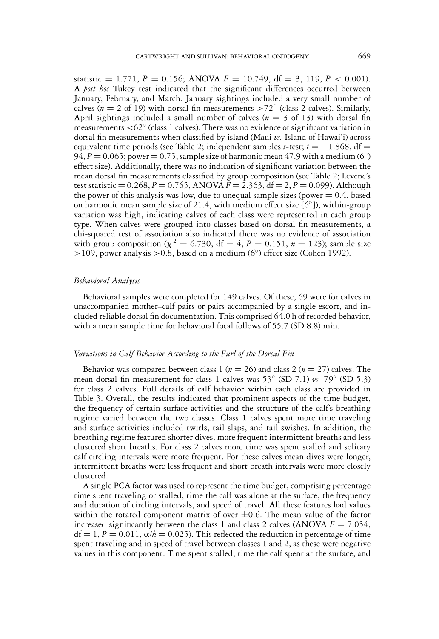statistic = 1.771,  $P = 0.156$ ; ANOVA  $F = 10.749$ , df = 3, 119,  $P < 0.001$ ). A *post hoc* Tukey test indicated that the significant differences occurred between January, February, and March. January sightings included a very small number of calves ( $n = 2$  of 19) with dorsal fin measurements  $> 72^\circ$  (class 2 calves). Similarly, April sightings included a small number of calves (*n* = 3 of 13) with dorsal fin measurements  $<62^{\circ}$  (class 1 calves). There was no evidence of significant variation in dorsal fin measurements when classified by island (Maui *vs.* Island of Hawai'i) across equivalent time periods (see Table 2; independent samples *t*-test;  $t = -1.868$ , df =  $94, P = 0.065$ ; power  $= 0.75$ ; sample size of harmonic mean 47.9 with a medium  $(6°)$ effect size). Additionally, there was no indication of significant variation between the mean dorsal fin measurements classified by group composition (see Table 2; Levene's test statistic =  $0.268$ , *P* =  $0.765$ , ANOVA *F* =  $2.363$ , df =  $2$ , *P* = 0.099). Although the power of this analysis was low, due to unequal sample sizes (power  $= 0.4$ , based on harmonic mean sample size of 21.4, with medium effect size  $[6°]$ ), within-group variation was high, indicating calves of each class were represented in each group type. When calves were grouped into classes based on dorsal fin measurements, a chi-squared test of association also indicated there was no evidence of association with group composition ( $\chi^2 = 6.730$ , df = 4,  $P = 0.151$ ,  $n = 123$ ); sample size  $>$ 109, power analysis  $>$ 0.8, based on a medium (6 $\degree$ ) effect size (Cohen 1992).

#### *Behavioral Analysis*

Behavioral samples were completed for 149 calves. Of these, 69 were for calves in unaccompanied mother–calf pairs or pairs accompanied by a single escort, and included reliable dorsal fin documentation. This comprised 64.0 h of recorded behavior, with a mean sample time for behavioral focal follows of 55.7 (SD 8.8) min.

#### *Variations in Calf Behavior According to the Furl of the Dorsal Fin*

Behavior was compared between class 1 ( $n = 26$ ) and class 2 ( $n = 27$ ) calves. The mean dorsal fin measurement for class 1 calves was 53◦ (SD 7.1) *vs.* 79◦ (SD 5.3) for class 2 calves. Full details of calf behavior within each class are provided in Table 3. Overall, the results indicated that prominent aspects of the time budget, the frequency of certain surface activities and the structure of the calf's breathing regime varied between the two classes. Class 1 calves spent more time traveling and surface activities included twirls, tail slaps, and tail swishes. In addition, the breathing regime featured shorter dives, more frequent intermittent breaths and less clustered short breaths. For class 2 calves more time was spent stalled and solitary calf circling intervals were more frequent. For these calves mean dives were longer, intermittent breaths were less frequent and short breath intervals were more closely clustered.

A single PCA factor was used to represent the time budget, comprising percentage time spent traveling or stalled, time the calf was alone at the surface, the frequency and duration of circling intervals, and speed of travel. All these features had values within the rotated component matrix of over  $\pm 0.6$ . The mean value of the factor increased significantly between the class 1 and class 2 calves (ANOVA  $F = 7.054$ ,  $df = 1, P = 0.011, \alpha/k = 0.025$ . This reflected the reduction in percentage of time spent traveling and in speed of travel between classes 1 and 2, as these were negative values in this component. Time spent stalled, time the calf spent at the surface, and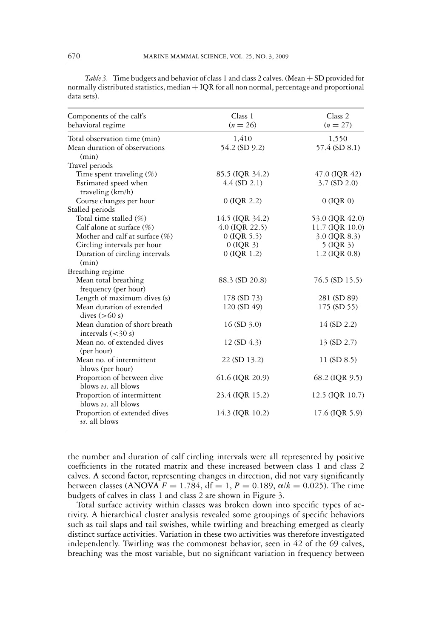| Components of the calf's                 | Class 1          | Class 2            |
|------------------------------------------|------------------|--------------------|
| behavioral regime                        | $(n = 26)$       | $(n = 27)$         |
| Total observation time (min)             | 1,410            | 1,550              |
| Mean duration of observations            | 54.2 (SD 9.2)    | 57.4 (SD 8.1)      |
| (min)                                    |                  |                    |
| Travel periods                           |                  |                    |
| Time spent traveling $(\%)$              | 85.5 (IQR 34.2)  | 47.0 (IQR 42)      |
| Estimated speed when                     | $4.4$ (SD 2.1)   | 3.7(SD 2.0)        |
| traveling (km/h)                         |                  |                    |
| Course changes per hour                  | $0$ (IQR 2.2)    | $0$ (IQR $0$ )     |
| Stalled periods                          |                  |                    |
| Total time stalled (%)                   | 14.5 (IQR 34.2)  | 53.0 (IQR 42.0)    |
| Calf alone at surface (%)                | $4.0$ (IQR 22.5) | 11.7 (IQR 10.0)    |
| Mother and calf at surface $(\%)$        | $0$ (IQR 5.5)    | $3.0$ (IQR $8.3$ ) |
| Circling intervals per hour              | $0$ (IQR $3$ )   | $5$ (IQR $3$ )     |
| Duration of circling intervals           | $0$ (IQR 1.2)    | 1.2 (IQR 0.8)      |
| (min)                                    |                  |                    |
| Breathing regime                         |                  |                    |
| Mean total breathing                     | 88.3 (SD 20.8)   | 76.5 (SD 15.5)     |
| frequency (per hour)                     |                  |                    |
| Length of maximum dives (s)              | 178 (SD 73)      | 281 (SD 89)        |
| Mean duration of extended                | 120 (SD 49)      | 175 (SD 55)        |
| dives $(>60 s)$                          |                  |                    |
| Mean duration of short breath            | 16(SD3.0)        | 14 (SD 2.2)        |
| intervals $(< 30 s)$                     |                  |                    |
| Mean no. of extended dives<br>(per hour) | 12 $(SD 4.3)$    | 13 (SD 2.7)        |
| Mean no. of intermittent                 | 22 (SD 13.2)     | 11 $(SD 8.5)$      |
| blows (per hour)                         |                  |                    |
| Proportion of between dive               | 61.6 (IQR 20.9)  | 68.2 (IQR 9.5)     |
| blows vs. all blows                      |                  |                    |
| Proportion of intermittent               | 23.4 (IQR 15.2)  | 12.5 (IQR 10.7)    |
| blows $\nu s$ , all blows                |                  |                    |
| Proportion of extended dives             | 14.3 (IQR 10.2)  | 17.6 (IQR 5.9)     |
| $\mathit{vs.}$ all blows                 |                  |                    |

*Table 3.* Time budgets and behavior of class 1 and class 2 calves. (Mean + SD provided for normally distributed statistics, median + IQR for all non normal, percentage and proportional data sets).

the number and duration of calf circling intervals were all represented by positive coefficients in the rotated matrix and these increased between class 1 and class 2 calves. A second factor, representing changes in direction, did not vary significantly between classes (ANOVA  $F = 1.784$ , df = 1,  $P = 0.189$ ,  $\alpha/k = 0.025$ ). The time budgets of calves in class 1 and class 2 are shown in Figure 3.

Total surface activity within classes was broken down into specific types of activity. A hierarchical cluster analysis revealed some groupings of specific behaviors such as tail slaps and tail swishes, while twirling and breaching emerged as clearly distinct surface activities. Variation in these two activities was therefore investigated independently. Twirling was the commonest behavior, seen in 42 of the 69 calves, breaching was the most variable, but no significant variation in frequency between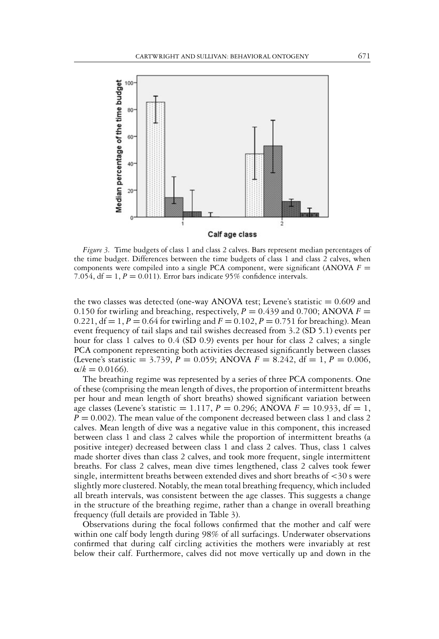

*Figure 3.* Time budgets of class 1 and class 2 calves. Bars represent median percentages of the time budget. Differences between the time budgets of class 1 and class 2 calves, when components were compiled into a single PCA component, were significant (ANOVA  $F =$ 7.054,  $df = 1$ ,  $P = 0.011$ ). Error bars indicate 95% confidence intervals.

the two classes was detected (one-way ANOVA test; Levene's statistic  $= 0.609$  and 0.150 for twirling and breaching, respectively,  $P = 0.439$  and 0.700; ANOVA  $F =$ 0.221,  $df = 1, P = 0.64$  for twirling and  $F = 0.102, P = 0.751$  for breaching). Mean event frequency of tail slaps and tail swishes decreased from 3.2 (SD 5.1) events per hour for class 1 calves to 0.4 (SD 0.9) events per hour for class 2 calves; a single PCA component representing both activities decreased significantly between classes (Levene's statistic = 3.739,  $P = 0.059$ ; ANOVA  $F = 8.242$ , df = 1,  $P = 0.006$ ,  $\alpha/k = 0.0166$ .

The breathing regime was represented by a series of three PCA components. One of these (comprising the mean length of dives, the proportion of intermittent breaths per hour and mean length of short breaths) showed significant variation between age classes (Levene's statistic = 1.117,  $P = 0.296$ ; ANOVA  $F = 10.933$ , df = 1,  $P = 0.002$ ). The mean value of the component decreased between class 1 and class 2 calves. Mean length of dive was a negative value in this component, this increased between class 1 and class 2 calves while the proportion of intermittent breaths (a positive integer) decreased between class 1 and class 2 calves. Thus, class 1 calves made shorter dives than class 2 calves, and took more frequent, single intermittent breaths. For class 2 calves, mean dive times lengthened, class 2 calves took fewer single, intermittent breaths between extended dives and short breaths of <30 s were slightly more clustered. Notably, the mean total breathing frequency, which included all breath intervals, was consistent between the age classes. This suggests a change in the structure of the breathing regime, rather than a change in overall breathing frequency (full details are provided in Table 3).

Observations during the focal follows confirmed that the mother and calf were within one calf body length during 98% of all surfacings. Underwater observations confirmed that during calf circling activities the mothers were invariably at rest below their calf. Furthermore, calves did not move vertically up and down in the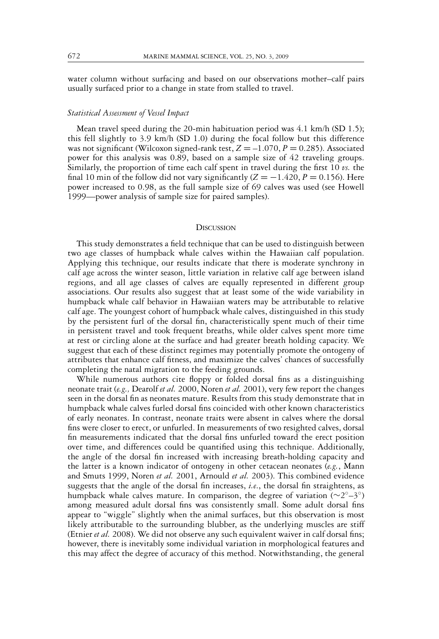water column without surfacing and based on our observations mother–calf pairs usually surfaced prior to a change in state from stalled to travel.

#### *Statistical Assessment of Vessel Impact*

Mean travel speed during the 20-min habituation period was 4.1 km/h (SD 1.5); this fell slightly to 3.9 km/h (SD 1.0) during the focal follow but this difference was not significant (Wilcoxon signed-rank test,  $Z = -1.070$ ,  $P = 0.285$ ). Associated power for this analysis was 0.89, based on a sample size of 42 traveling groups. Similarly, the proportion of time each calf spent in travel during the first 10 *vs.* the final 10 min of the follow did not vary significantly  $(Z = -1.420, P = 0.156)$ . Here power increased to 0.98, as the full sample size of 69 calves was used (see Howell 1999—power analysis of sample size for paired samples).

#### **DISCUSSION**

This study demonstrates a field technique that can be used to distinguish between two age classes of humpback whale calves within the Hawaiian calf population. Applying this technique, our results indicate that there is moderate synchrony in calf age across the winter season, little variation in relative calf age between island regions, and all age classes of calves are equally represented in different group associations. Our results also suggest that at least some of the wide variability in humpback whale calf behavior in Hawaiian waters may be attributable to relative calf age. The youngest cohort of humpback whale calves, distinguished in this study by the persistent furl of the dorsal fin, characteristically spent much of their time in persistent travel and took frequent breaths, while older calves spent more time at rest or circling alone at the surface and had greater breath holding capacity. We suggest that each of these distinct regimes may potentially promote the ontogeny of attributes that enhance calf fitness, and maximize the calves' chances of successfully completing the natal migration to the feeding grounds.

While numerous authors cite floppy or folded dorsal fins as a distinguishing neonate trait (*e.g.,* Dearolf *et al.* 2000, Noren *et al.* 2001), very few report the changes seen in the dorsal fin as neonates mature. Results from this study demonstrate that in humpback whale calves furled dorsal fins coincided with other known characteristics of early neonates. In contrast, neonate traits were absent in calves where the dorsal fins were closer to erect, or unfurled. In measurements of two resighted calves, dorsal fin measurements indicated that the dorsal fins unfurled toward the erect position over time, and differences could be quantified using this technique. Additionally, the angle of the dorsal fin increased with increasing breath-holding capacity and the latter is a known indicator of ontogeny in other cetacean neonates (*e.g.*, Mann and Smuts 1999, Noren *et al.* 2001, Arnould *et al.* 2003). This combined evidence suggests that the angle of the dorsal fin increases, *i.e*., the dorsal fin straightens, as humpback whale calves mature. In comparison, the degree of variation ( $\sim 2^{\circ} - 3^{\circ}$ ) among measured adult dorsal fins was consistently small. Some adult dorsal fins appear to "wiggle" slightly when the animal surfaces, but this observation is most likely attributable to the surrounding blubber, as the underlying muscles are stiff (Etnier *et al.* 2008). We did not observe any such equivalent waiver in calf dorsal fins; however, there is inevitably some individual variation in morphological features and this may affect the degree of accuracy of this method. Notwithstanding, the general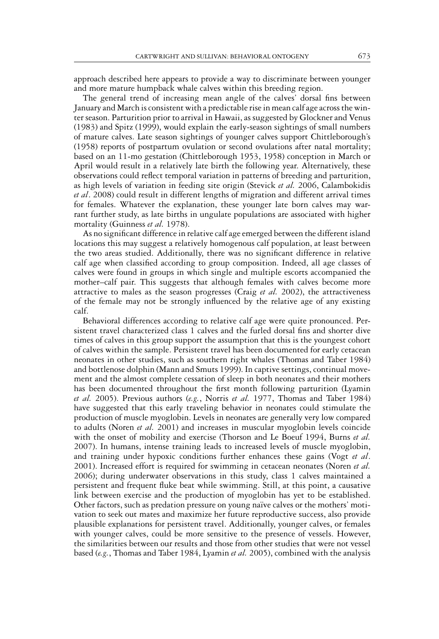approach described here appears to provide a way to discriminate between younger and more mature humpback whale calves within this breeding region.

The general trend of increasing mean angle of the calves' dorsal fins between January and March is consistent with a predictable rise in mean calf age across the winter season. Parturition prior to arrival in Hawaii, as suggested by Glockner and Venus (1983) and Spitz (1999), would explain the early-season sightings of small numbers of mature calves. Late season sightings of younger calves support Chittleborough's (1958) reports of postpartum ovulation or second ovulations after natal mortality; based on an 11-mo gestation (Chittleborough 1953, 1958) conception in March or April would result in a relatively late birth the following year. Alternatively, these observations could reflect temporal variation in patterns of breeding and parturition, as high levels of variation in feeding site origin (Stevick *et al.* 2006, Calambokidis *et al*. 2008) could result in different lengths of migration and different arrival times for females. Whatever the explanation, these younger late born calves may warrant further study, as late births in ungulate populations are associated with higher mortality (Guinness *et al.* 1978).

As no significant difference in relative calf age emerged between the different island locations this may suggest a relatively homogenous calf population, at least between the two areas studied. Additionally, there was no significant difference in relative calf age when classified according to group composition. Indeed, all age classes of calves were found in groups in which single and multiple escorts accompanied the mother–calf pair. This suggests that although females with calves become more attractive to males as the season progresses (Craig *et al.* 2002), the attractiveness of the female may not be strongly influenced by the relative age of any existing calf.

Behavioral differences according to relative calf age were quite pronounced. Persistent travel characterized class 1 calves and the furled dorsal fins and shorter dive times of calves in this group support the assumption that this is the youngest cohort of calves within the sample. Persistent travel has been documented for early cetacean neonates in other studies, such as southern right whales (Thomas and Taber 1984) and bottlenose dolphin (Mann and Smuts 1999). In captive settings, continual movement and the almost complete cessation of sleep in both neonates and their mothers has been documented throughout the first month following parturition (Lyamin *et al.* 2005). Previous authors (*e.g.*, Norris *et al.* 1977, Thomas and Taber 1984) have suggested that this early traveling behavior in neonates could stimulate the production of muscle myoglobin. Levels in neonates are generally very low compared to adults (Noren *et al.* 2001) and increases in muscular myoglobin levels coincide with the onset of mobility and exercise (Thorson and Le Boeuf 1994, Burns *et al.* 2007). In humans, intense training leads to increased levels of muscle myoglobin, and training under hypoxic conditions further enhances these gains (Vogt *et al*. 2001). Increased effort is required for swimming in cetacean neonates (Noren *et al.* 2006); during underwater observations in this study, class 1 calves maintained a persistent and frequent fluke beat while swimming. Still, at this point, a causative link between exercise and the production of myoglobin has yet to be established. Other factors, such as predation pressure on young naïve calves or the mothers' motivation to seek out mates and maximize her future reproductive success, also provide plausible explanations for persistent travel. Additionally, younger calves, or females with younger calves, could be more sensitive to the presence of vessels. However, the similarities between our results and those from other studies that were not vessel based (*e.g.*, Thomas and Taber 1984, Lyamin *et al.* 2005), combined with the analysis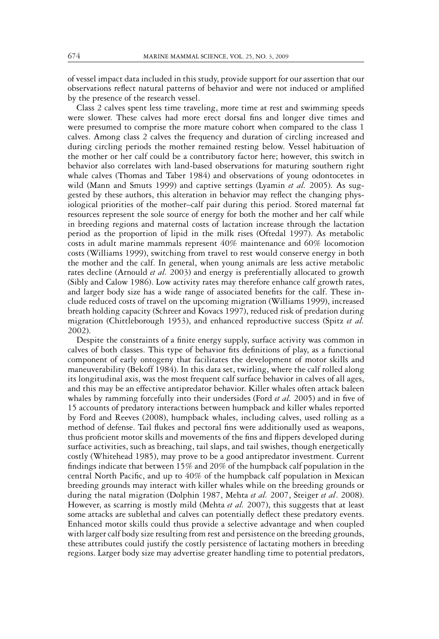of vessel impact data included in this study, provide support for our assertion that our observations reflect natural patterns of behavior and were not induced or amplified by the presence of the research vessel.

Class 2 calves spent less time traveling, more time at rest and swimming speeds were slower. These calves had more erect dorsal fins and longer dive times and were presumed to comprise the more mature cohort when compared to the class 1 calves. Among class 2 calves the frequency and duration of circling increased and during circling periods the mother remained resting below. Vessel habituation of the mother or her calf could be a contributory factor here; however, this switch in behavior also correlates with land-based observations for maturing southern right whale calves (Thomas and Taber 1984) and observations of young odontocetes in wild (Mann and Smuts 1999) and captive settings (Lyamin *et al.* 2005). As suggested by these authors, this alteration in behavior may reflect the changing physiological priorities of the mother–calf pair during this period. Stored maternal fat resources represent the sole source of energy for both the mother and her calf while in breeding regions and maternal costs of lactation increase through the lactation period as the proportion of lipid in the milk rises (Oftedal 1997). As metabolic costs in adult marine mammals represent 40% maintenance and 60% locomotion costs (Williams 1999), switching from travel to rest would conserve energy in both the mother and the calf. In general, when young animals are less active metabolic rates decline (Arnould *et al.* 2003) and energy is preferentially allocated to growth (Sibly and Calow 1986). Low activity rates may therefore enhance calf growth rates, and larger body size has a wide range of associated benefits for the calf. These include reduced costs of travel on the upcoming migration (Williams 1999), increased breath holding capacity (Schreer and Kovacs 1997), reduced risk of predation during migration (Chittleborough 1953), and enhanced reproductive success (Spitz *et al.* 2002).

Despite the constraints of a finite energy supply, surface activity was common in calves of both classes. This type of behavior fits definitions of play, as a functional component of early ontogeny that facilitates the development of motor skills and maneuverability (Bekoff 1984). In this data set, twirling, where the calf rolled along its longitudinal axis, was the most frequent calf surface behavior in calves of all ages, and this may be an effective antipredator behavior. Killer whales often attack baleen whales by ramming forcefully into their undersides (Ford *et al.* 2005) and in five of 15 accounts of predatory interactions between humpback and killer whales reported by Ford and Reeves (2008), humpback whales, including calves, used rolling as a method of defense. Tail flukes and pectoral fins were additionally used as weapons, thus proficient motor skills and movements of the fins and flippers developed during surface activities, such as breaching, tail slaps, and tail swishes, though energetically costly (Whitehead 1985), may prove to be a good antipredator investment. Current findings indicate that between 15% and 20% of the humpback calf population in the central North Pacific, and up to 40% of the humpback calf population in Mexican breeding grounds may interact with killer whales while on the breeding grounds or during the natal migration (Dolphin 1987, Mehta *et al.* 2007, Steiger *et al*. 2008). However, as scarring is mostly mild (Mehta *et al.* 2007), this suggests that at least some attacks are sublethal and calves can potentially deflect these predatory events. Enhanced motor skills could thus provide a selective advantage and when coupled with larger calf body size resulting from rest and persistence on the breeding grounds, these attributes could justify the costly persistence of lactating mothers in breeding regions. Larger body size may advertise greater handling time to potential predators,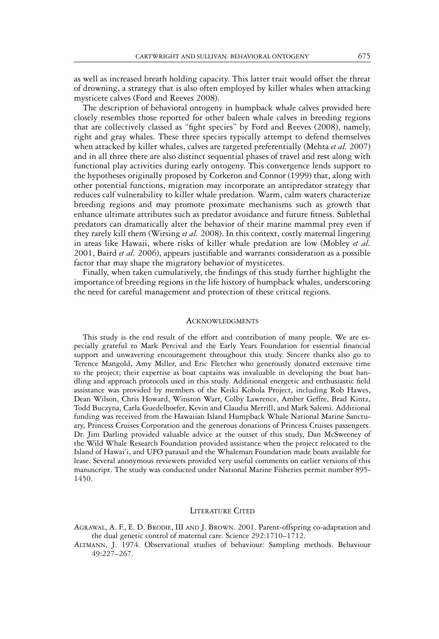as well as increased breath holding capacity. This latter trait would offset the threat of drowning, a strategy that is also often employed by killer whales when attacking mysticete calves (Ford and Reeves 2008).

The description of behavioral ontogeny in humpback whale calves provided here closely resembles those reported for other baleen whale calves in breeding regions that are collectively classed as "fight species" by Ford and Reeves (2008), namely, right and gray whales. These three species typically attempt to defend themselves when attacked by killer whales, calves are targeted preferentially (Mehta *et al.* 2007) and in all three there are also distinct sequential phases of travel and rest along with functional play activities during early ontogeny. This convergence lends support to the hypotheses originally proposed by Corkeron and Connor (1999) that, along with other potential functions, migration may incorporate an antipredator strategy that reduces calf vulnerability to killer whale predation. Warm, calm waters characterize breeding regions and may promote proximate mechanisms such as growth that enhance ultimate attributes such as predator avoidance and future fitness. Sublethal predators can dramatically alter the behavior of their marine mammal prey even if they rarely kill them (Wirsing *et al.* 2008). In this context, costly maternal lingering in areas like Hawaii, where risks of killer whale predation are low (Mobley *et al.* 2001, Baird *et al.* 2006), appears justifiable and warrants consideration as a possible factor that may shape the migratory behavior of mysticetes.

Finally, when taken cumulatively, the findings of this study further highlight the importance of breeding regions in the life history of humpback whales, underscoring the need for careful management and protection of these critical regions.

#### ACKNOWLEDGMENTS

This study is the end result of the effort and contribution of many people. We are especially grateful to Mark Percival and the Early Years Foundation for essential financial support and unwavering encouragement throughout this study. Sincere thanks also go to Terence Mangold, Amy Miller, and Eric Fletcher who generously donated extensive time to the project; their expertise as boat captains was invaluable in developing the boat handling and approach protocols used in this study. Additional energetic and enthusiastic field assistance was provided by members of the Keiki Kohola Project, including Rob Hawes, Dean Wilson, Chris Howard, Winston Warr, Colby Lawrence, Amber Geffre, Brad Kintz, Todd Buczyna, Carla Guedelhoefer, Kevin and Claudia Merrill, and Mark Salemi. Additional funding was received from the Hawaiian Island Humpback Whale National Marine Sanctuary, Princess Cruises Corporation and the generous donations of Princess Cruises passengers. Dr. Jim Darling provided valuable advice at the outset of this study, Dan McSweeney of the Wild Whale Research Foundation provided assistance when the project relocated to the Island of Hawai'i, and UFO parasail and the Whaleman Foundation made boats available for lease. Several anonymous reviewers provided very useful comments on earlier versions of this manuscript. The study was conducted under National Marine Fisheries permit number 895- 1450.

#### LITERATURE CITED

AGRAWAL, A. F., E. D. BRODIE, III AND J. BROWN. 2001. Parent-offspring co-adaptation and the dual genetic control of maternal care. Science 292:1710–1712.

ALTMANN, J. 1974. Observational studies of behaviour: Sampling methods. Behaviour 49:227–267.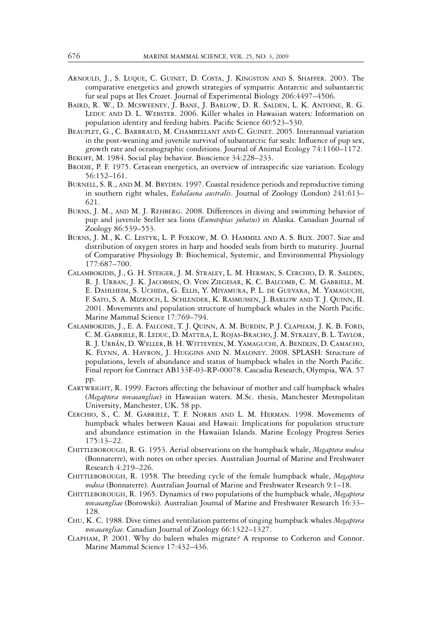- ARNOULD, J., S. LUQUE, C. GUINET, D. COSTA, J. KINGSTON AND S. SHAFFER. 2003. The comparative energetics and growth strategies of sympatric Antarctic and subantarctic fur seal pups at Iles Crozet. Journal of Experimental Biology 206:4497–4506.
- BAIRD, R. W., D. MCSWEENEY, J. BANE, J. BARLOW, D. R. SALDEN, L. K. ANTOINE, R. G. LEDUC AND D. L. WEBSTER. 2006. Killer whales in Hawaiian waters: Information on population identity and feeding habits. Pacific Science 60:523–530.
- BEAUPLET, G., C. BARBRAUD, M. CHAMBELLANT AND C. GUINET. 2005. Interannual variation in the post-weaning and juvenile survival of subantarctic fur seals: Influence of pup sex, growth rate and oceanographic conditions. Journal of Animal Ecology 74:1160–1172.

BEKOFF, M. 1984. Social play behavior. Bioscience 34:228–233.

- BRODIE, P. F. 1975. Cetacean energetics, an overview of intraspecific size variation. Ecology 56:152–161.
- BURNELL, S. R., AND M. M. BRYDEN. 1997. Coastal residence periods and reproductive timing in southern right whales, *Eubalaena australis*. Journal of Zoology (London) 241:613– 621.
- BURNS, J. M., AND M. J. REHBERG. 2008. Differences in diving and swimming behavior of pup and juvenile Steller sea lions (*Eumetopias jubatus*) in Alaska. Canadian Journal of Zoology 86:539–553.
- BURNS, J. M., K. C. LESTYK, L. P. FOLKOW, M. O. HAMMILL AND A. S. BLIX. 2007. Size and distribution of oxygen stores in harp and hooded seals from birth to maturity. Journal of Comparative Physiology B: Biochemical, Systemic, and Environmental Physiology 177:687–700.
- CALAMBOKIDIS, J., G. H. STEIGER, J. M. STRALEY, L. M. HERMAN, S. CERCHIO, D. R. SALDEN, R. J. URBAN, J. K. JACOBSEN, O. VON ZIEGESAR, K. C. BALCOMB, C. M. GABRIELE, M. E. DAHLHEIM, S. UCHIDA, G. ELLIS, Y. MIYAMURA, P. L. DE GUEVARA, M. YAMAGUCHI, F. SATO, S. A. MIZROCH, L. SCHLENDER, K. RASMUSSEN, J. BARLOW AND T. J. QUINN, II. 2001. Movements and population structure of humpback whales in the North Pacific. Marine Mammal Science 17:769–794.
- CALAMBOKIDIS, J., E. A. FALCONE, T. J. QUINN, A. M. BURDIN, P. J. CLAPHAM, J. K. B. FORD, C. M. GABRIELE, R. LEDUC, D. MATTILA, L. ROJAS-BRACHO, J. M. STRALEY, B. L. TAYLOR, R. J. URBÁN, D. WELLER, B. H. WITTEVEEN, M. YAMAGUCHI, A. BENDLIN, D. CAMACHO, K. FLYNN, A. HAVRON, J. HUGGINS AND N. MALONEY. 2008. SPLASH: Structure of populations, levels of abundance and status of humpback whales in the North Pacific. Final report for Contract AB133F-03-RP-00078. Cascadia Research, Olympia, WA. 57 pp.
- CARTWRIGHT, R. 1999. Factors affecting the behaviour of mother and calf humpback whales (*Megaptera novaeangliae*) in Hawaiian waters. M.Sc. thesis, Manchester Metropolitan University, Manchester, UK. 58 pp.
- CERCHIO, S., C. M. GABRIELE, T. F. NORRIS AND L. M. HERMAN. 1998. Movements of humpback whales between Kauai and Hawaii: Implications for population structure and abundance estimation in the Hawaiian Islands. Marine Ecology Progress Series 175:13–22.
- CHITTLEBOROUGH, R. G. 1953. Aerial observations on the humpback whale, *Megaptera nodosa* (Bonnaterre), with notes on other species. Australian Journal of Marine and Freshwater Research 4:219–226.
- CHITTLEBOROUGH, R. 1958. The breeding cycle of the female humpback whale, *Megaptera nodosa* (Bonnaterre). Australian Journal of Marine and Freshwater Research 9:1–18.
- CHITTLEBOROUGH, R. 1965. Dynamics of two populations of the humpback whale, *Megaptera novaeangliae* (Borowski). Australian Journal of Marine and Freshwater Research 16:33– 128.
- CHU, K. C. 1988. Dive times and ventilation patterns of singing humpback whales *Megaptera novaeangliae*. Canadian Journal of Zoology 66:1322–1327.
- CLAPHAM, P. 2001. Why do baleen whales migrate? A response to Corkeron and Connor. Marine Mammal Science 17:432–436.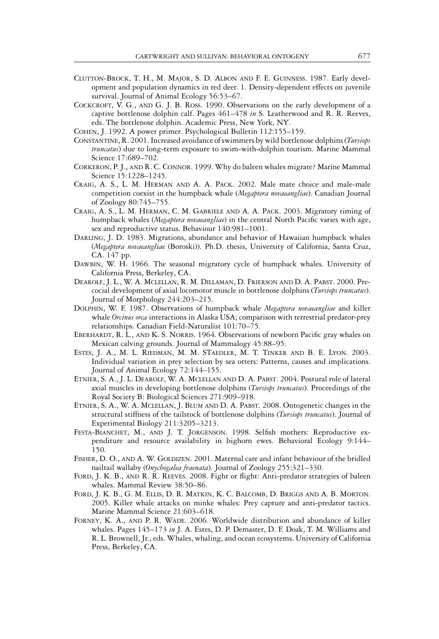- CLUTTON-BROCK, T. H., M. MAJOR, S. D. ALBON AND F. E. GUINNESS. 1987. Early development and population dynamics in red deer. 1. Density-dependent effects on juvenile survival. Journal of Animal Ecology 56:53–67.
- COCKCROFT, V. G., AND G. J. B. ROSS. 1990. Observations on the early development of a captive bottlenose dolphin calf. Pages 461–478 *in* S. Leatherwood and R. R. Reeves, eds. The bottlenose dolphin. Academic Press, New York, NY.
- COHEN, J. 1992. A power primer. Psychological Bulletin 112:155–159.
- CONSTANTINE, R. 2001. Increased avoidance of swimmers by wild bottlenose dolphins (*Tursiops truncatus*) due to long-term exposure to swim-with-dolphin tourism. Marine Mammal Science 17:689–702.
- CORKERON, P. J., AND R. C. CONNOR. 1999. Why do baleen whales migrate? Marine Mammal Science 15:1228–1245.
- CRAIG, A. S., L. M. HERMAN AND A. A. PACK. 2002. Male mate choice and male-male competition coexist in the humpback whale (*Megaptera novaeangliae*). Canadian Journal of Zoology 80:745–755.
- CRAIG, A. S., L. M. HERMAN, C. M. GABRIELE AND A. A. PACK. 2003. Migratory timing of humpback whales (*Megaptera novaeangliae*) in the central North Pacific varies with age, sex and reproductive status. Behaviour 140:981–1001.
- DARLING, J. D. 1983. Migrations, abundance and behavior of Hawaiian humpback whales (*Megaptera novaeangliae* (Boroski)). Ph.D. thesis, University of California, Santa Cruz, CA. 147 pp.
- DAWBIN, W. H. 1966. The seasonal migratory cycle of humpback whales. University of California Press, Berkeley, CA.
- DEAROLF, J. L., W. A. MCLELLAN, R. M. DILLAMAN, D. FRIERSON AND D. A. PABST. 2000. Precocial development of axial locomotor muscle in bottlenose dolphins (*Tursiops truncatus*). Journal of Morphology 244:203–215.
- DOLPHIN, W. F. 1987. Observations of humpback whale *Megaptera novaeangliae* and killer whale *Orcinus orca* interactions in Alaska USA; comparison with terrestrial predator-prey relationships. Canadian Field-Naturalist 101:70–75.
- EBERHARDT, R. L., AND K. S. NORRIS. 1964. Observations of newborn Pacific gray whales on Mexican calving grounds. Journal of Mammalogy 45:88–95.
- ESTES, J. A., M. L. RIEDMAN, M. M. STAEDLER, M. T. TINKER AND B. E. LYON. 2003. Individual variation in prey selection by sea otters: Patterns, causes and implications. Journal of Animal Ecology 72:144–155.
- ETNIER, S. A., J. L. DEAROLF, W. A. MCLELLAN AND D. A. PABST. 2004. Postural role of lateral axial muscles in developing bottlenose dolphins (*Tursiops truncatus*). Proceedings of the Royal Society B: Biological Sciences 271:909–918.
- ETNIER, S. A., W. A. MCLELLAN, J. BLUM AND D. A. PABST. 2008. Ontogenetic changes in the structural stiffness of the tailstock of bottlenose dolphins (*Tursiops truncatus*). Journal of Experimental Biology 211:3205–3213.
- FESTA-BIANCHET, M., AND J. T. JORGENSON. 1998. Selfish mothers: Reproductive expenditure and resource availability in bighorn ewes. Behavioral Ecology 9:144– 150.
- FISHER, D. O., AND A. W. GOLDIZEN. 2001. Maternal care and infant behaviour of the bridled nailtail wallaby (*Onychogalea fraenata*). Journal of Zoology 255:321–330.
- FORD, J. K. B., AND R. R. REEVES. 2008. Fight or flight: Anti-predator strategies of baleen whales. Mammal Review 38:50–86.
- FORD, J. K. B., G. M. ELLIS, D. R. MATKIN, K. C. BALCOMB, D. BRIGGS AND A. B. MORTON. 2005. Killer whale attacks on minke whales: Prey capture and anti-predator tactics. Marine Mammal Science 21:603–618.
- FORNEY, K. A., AND P. R. WADE. 2006. Worldwide distribution and abundance of killer whales. Pages 145–173 *in* J. A. Estes, D. P. Demaster, D. F. Doak, T. M. Williams and R. L. Brownell, Jr., eds. Whales, whaling, and ocean ecosystems. University of California Press, Berkeley, CA.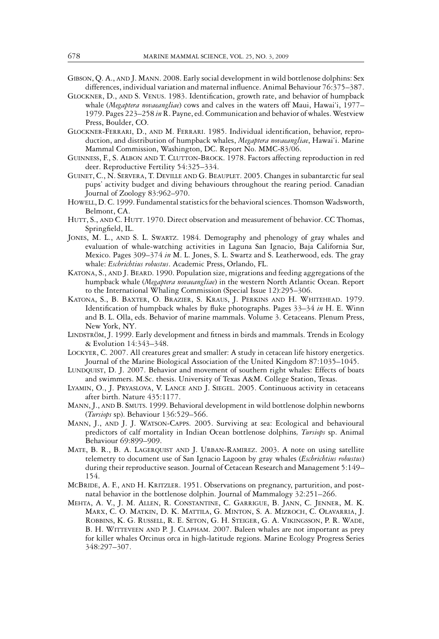- GIBSON, Q. A., AND J. MANN. 2008. Early social development in wild bottlenose dolphins: Sex differences, individual variation and maternal influence. Animal Behaviour 76:375–387.
- GLOCKNER, D., AND S. VENUS. 1983. Identification, growth rate, and behavior of humpback whale (*Megaptera novaeangliae*) cows and calves in the waters off Maui, Hawai'i, 1977– 1979. Pages 223–258 *in*R. Payne, ed. Communication and behavior of whales. Westview Press, Boulder, CO.
- GLOCKNER-FERRARI, D., AND M. FERRARI. 1985. Individual identification, behavior, reproduction, and distribution of humpback whales, *Megaptera novaeangliae*, Hawai'i. Marine Mammal Commission, Washington, DC. Report No. MMC-83/06.
- GUINNESS, F., S. ALBON AND T. CLUTTON-BROCK. 1978. Factors affecting reproduction in red deer. Reproductive Fertility 54:325–334.
- GUINET, C., N. SERVERA, T. DEVILLE AND G. BEAUPLET. 2005. Changes in subantarctic fur seal pups' activity budget and diving behaviours throughout the rearing period. Canadian Journal of Zoology 83:962–970.
- HOWELL, D. C. 1999. Fundamental statistics for the behavioral sciences. Thomson Wadsworth, Belmont, CA.
- HUTT, S., AND C. HUTT. 1970. Direct observation and measurement of behavior. CC Thomas, Springfield, IL.
- JONES, M. L., AND S. L. SWARTZ. 1984. Demography and phenology of gray whales and evaluation of whale-watching activities in Laguna San Ignacio, Baja California Sur, Mexico. Pages 309–374 *in* M. L. Jones, S. L. Swartz and S. Leatherwood, eds. The gray whale: *Eschrichtius robustus*. Academic Press, Orlando, FL.
- KATONA, S., AND J. BEARD. 1990. Population size, migrations and feeding aggregations of the humpback whale (*Megaptera novaeangliae*) in the western North Atlantic Ocean. Report to the International Whaling Commission (Special Issue 12):295–306.
- KATONA, S., B. BAXTER, O. BRAZIER, S. KRAUS, J. PERKINS AND H. WHITEHEAD. 1979. Identification of humpback whales by fluke photographs. Pages 33–34 *in* H. E. Winn and B. L. Olla, eds. Behavior of marine mammals. Volume 3. Cetaceans. Plenum Press, New York, NY.
- LINDSTRÖM, J. 1999. Early development and fitness in birds and mammals. Trends in Ecology & Evolution 14:343–348.
- LOCKYER, C. 2007. All creatures great and smaller: A study in cetacean life history energetics. Journal of the Marine Biological Association of the United Kingdom 87:1035–1045.
- LUNDQUIST, D. J. 2007. Behavior and movement of southern right whales: Effects of boats and swimmers. M.Sc. thesis. University of Texas A&M. College Station, Texas.
- LYAMIN, O., J. PRYASLOVA, V. LANCE AND J. SIEGEL. 2005. Continuous activity in cetaceans after birth. Nature 435:1177.
- MANN, J., AND B. SMUTS. 1999. Behavioral development in wild bottlenose dolphin newborns (*Tursiops* sp). Behaviour 136:529–566.
- MANN, J., AND J. J. WATSON-CAPPS. 2005. Surviving at sea: Ecological and behavioural predictors of calf mortality in Indian Ocean bottlenose dolphins*, Tursiops* sp. Animal Behaviour 69:899–909.
- MATE, B. R., B. A. LAGERQUIST AND J. URBAN-RAMIREZ. 2003. A note on using satellite telemetry to document use of San Ignacio Lagoon by gray whales (*Eschrichtius robustus*) during their reproductive season. Journal of Cetacean Research and Management 5:149– 154.
- MCBRIDE, A. F., AND H. KRITZLER. 1951. Observations on pregnancy, parturition, and postnatal behavior in the bottlenose dolphin. Journal of Mammalogy 32:251–266.
- MEHTA, A. V., J. M. ALLEN, R. CONSTANTINE, C. GARRIGUE, B. JANN, C. JENNER, M. K. MARX, C. O. MATKIN, D. K. MATTILA, G. MINTON, S. A. MIZROCH, C. OLAVARRIA, J. ROBBINS, K. G. RUSSELL, R. E. SETON, G. H. STEIGER, G. A. VIKINGSSON, P. R. WADE, B. H. WITTEVEEN AND P. J. CLAPHAM. 2007. Baleen whales are not important as prey for killer whales Orcinus orca in high-latitude regions. Marine Ecology Progress Series 348:297–307.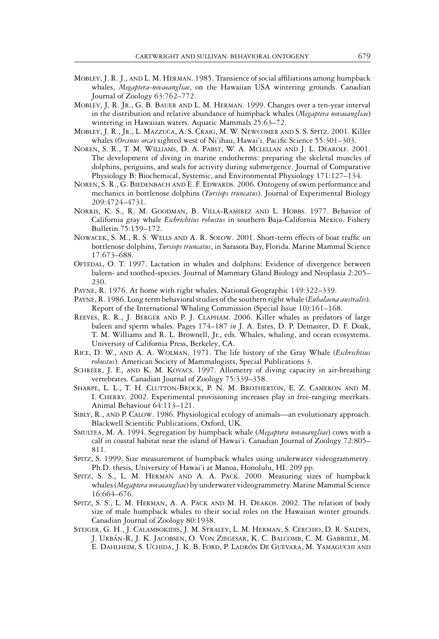- MOBLEY, J. R. J., AND L. M. HERMAN. 1985. Transience of social affiliations among humpback whales, *Megaptera-novaeangliae*, on the Hawaiian USA wintering grounds. Canadian Journal of Zoology 63:762–772.
- MOBLEY, J. R. JR., G. B. BAUER AND L. M. HERMAN. 1999. Changes over a ten-year interval in the distribution and relative abundance of humpback whales (*Megaptera novaeangliae*) wintering in Hawaiian waters. Aquatic Mammals 25:63–72.
- MOBLEY, J. R., JR., L. MAZZUCA, A. S. CRAIG, M. W. NEWCOMER AND S. S. SPITZ. 2001. Killer whales (*Orcinus orca*) sighted west of Ni'ihau, Hawai'i. Pacific Science 55:301–303.
- NOREN, S. R., T. M. WILLIAMS, D. A. PABST, W. A. MCLELLAN AND J. L. DEAROLF. 2001. The development of diving in marine endotherms: preparing the skeletal muscles of dolphins, penguins, and seals for activity during submergence. Journal of Comparative Physiology B: Biochemical, Systemic, and Environmental Physiology 171:127–134.
- NOREN, S. R., G. BIEDENBACH AND E. F. EDWARDS. 2006. Ontogeny of swim performance and mechanics in bottlenose dolphins (*Tursiops truncatus*). Journal of Experimental Biology 209:4724–4731.
- NORRIS, K. S., R. M. GOODMAN, B. VILLA-RAMIREZ AND L. HOBBS. 1977. Behavior of California gray whale *Eschrichtius robustus* in southern Baja-California Mexico. Fishery Bulletin 75:159–172.
- NOWACEK, S. M., R. S. WELLS AND A. R. SOLOW. 2001. Short-term effects of boat traffic on bottlenose dolphins, *Tursiops truncatus*, in Sarasota Bay, Florida. Marine Mammal Science 17:673–688.
- OFTEDAL, O. T. 1997. Lactation in whales and dolphins: Evidence of divergence between baleen- and toothed-species. Journal of Mammary Gland Biology and Neoplasia 2:205– 230.
- PAYNE, R. 1976. At home with right whales. National Geographic 149:322–339.
- PAYNE, R. 1986. Long term behavioral studies of the southern right whale (*Eubalaena australis*). Report of the International Whaling Commission (Special Issue 10):161–168.
- REEVES, R. R., J. BERGER AND P. J. CLAPHAM. 2006. Killer whales as predators of large baleen and sperm whales. Pages 174–187 *in* J. A. Estes, D. P. Demaster, D. F. Doak, T. M. Williams and R. L. Brownell, Jr., eds. Whales, whaling, and ocean ecosystems. University of California Press, Berkeley, CA.
- RICE, D. W., AND A. A. WOLMAN. 1971. The life history of the Gray Whale (*Eschrichtius robustus*). American Society of Mammalogists, Special Publications 3.
- SCHREER, J. F., AND K. M. KOVACS. 1997. Allometry of diving capacity in air-breathing vertebrates. Canadian Journal of Zoology 75:339–358.
- SHARPE, L. L., T. H. CLUTTON-BROCK, P. N. M. BROTHERTON, E. Z. CAMERON AND M. I. CHERRY. 2002. Experimental provisioning increases play in free-ranging meerkats. Animal Behaviour 64:113–121.
- SIBLY, R., AND P. CALOW. 1986. Physiological ecology of animals—an evolutionary approach. Blackwell Scientific Publications, Oxford, UK.
- SMULTEA, M. A. 1994. Segregation by humpback whale (*Megaptera novaeangliae*) cows with a calf in coastal habitat near the island of Hawai'i. Canadian Journal of Zoology 72:805– 811.
- SPITZ, S. 1999. Size measurement of humpback whales using underwater videogrammetry. Ph.D. thesis, University of Hawai'i at Manoa, Honolulu, HI. 209 pp.
- SPITZ, S. S., L. M. HERMAN AND A. A. PACK. 2000. Measuring sizes of humpback whales (*Megaptera novaeangliae*) by underwater videogrammetry. Marine Mammal Science 16:664–676.
- SPITZ, S. S., L. M. HERMAN, A. A. PACK AND M. H. DEAKOS. 2002. The relation of body size of male humpback whales to their social roles on the Hawaiian winter grounds. Canadian Journal of Zoology 80:1938.
- STEIGER, G. H., J. CALAMBOKIDIS, J. M. STRALEY, L. M. HERMAN, S. CERCHIO, D. R. SALDEN, J. URBÁN-R, J. K. JACOBSEN, O. VON ZIEGESAR, K. C. BALCOMB, C. M. GABRIELE, M. E. DAHLHEIM, S. UCHIDA, J. K. B. FORD, P. LADRÓN DE GUEVARA, M. YAMAGUCHI AND